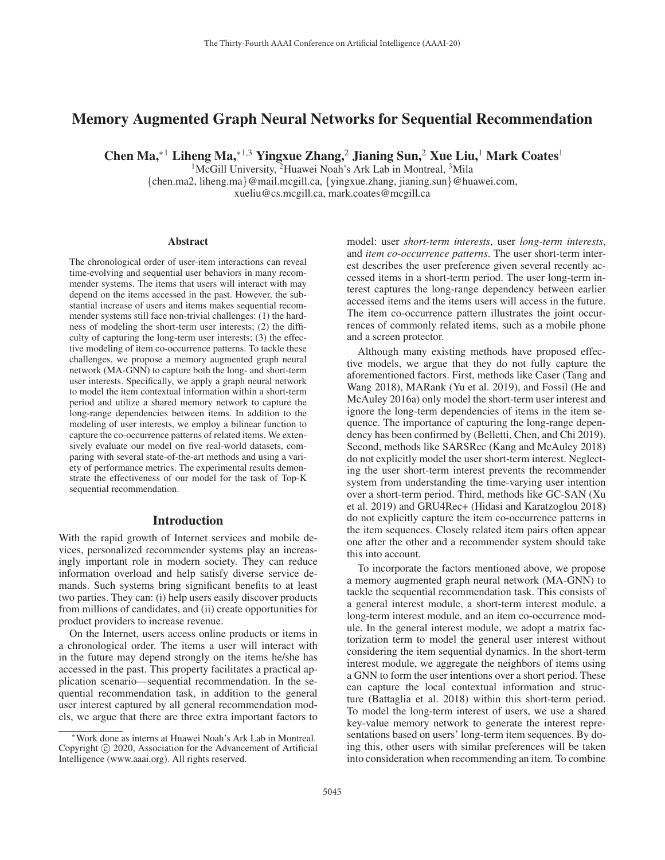# Memory Augmented Graph Neural Networks for Sequential Recommendation

Chen Ma,<sup>∗1</sup> Liheng Ma,<sup>∗1,3</sup> Yingxue Zhang,<sup>2</sup> Jianing Sun,<sup>2</sup> Xue Liu,<sup>1</sup> Mark Coates<sup>1</sup>

<sup>1</sup>McGill University, <sup>2</sup>Huawei Noah's Ark Lab in Montreal, <sup>3</sup>Mila {chen.ma2, liheng.ma}@mail.mcgill.ca, {yingxue.zhang, jianing.sun}@huawei.com, xueliu@cs.mcgill.ca, mark.coates@mcgill.ca

#### **Abstract**

The chronological order of user-item interactions can reveal time-evolving and sequential user behaviors in many recommender systems. The items that users will interact with may depend on the items accessed in the past. However, the substantial increase of users and items makes sequential recommender systems still face non-trivial challenges: (1) the hardness of modeling the short-term user interests; (2) the difficulty of capturing the long-term user interests; (3) the effective modeling of item co-occurrence patterns. To tackle these challenges, we propose a memory augmented graph neural network (MA-GNN) to capture both the long- and short-term user interests. Specifically, we apply a graph neural network to model the item contextual information within a short-term period and utilize a shared memory network to capture the long-range dependencies between items. In addition to the modeling of user interests, we employ a bilinear function to capture the co-occurrence patterns of related items. We extensively evaluate our model on five real-world datasets, comparing with several state-of-the-art methods and using a variety of performance metrics. The experimental results demonstrate the effectiveness of our model for the task of Top-K sequential recommendation.

# Introduction

With the rapid growth of Internet services and mobile devices, personalized recommender systems play an increasingly important role in modern society. They can reduce information overload and help satisfy diverse service demands. Such systems bring significant benefits to at least two parties. They can: (i) help users easily discover products from millions of candidates, and (ii) create opportunities for product providers to increase revenue.

On the Internet, users access online products or items in a chronological order. The items a user will interact with in the future may depend strongly on the items he/she has accessed in the past. This property facilitates a practical application scenario—sequential recommendation. In the sequential recommendation task, in addition to the general user interest captured by all general recommendation models, we argue that there are three extra important factors to model: user *short-term interests*, user *long-term interests*, and *item co-occurrence patterns*. The user short-term interest describes the user preference given several recently accessed items in a short-term period. The user long-term interest captures the long-range dependency between earlier accessed items and the items users will access in the future. The item co-occurrence pattern illustrates the joint occurrences of commonly related items, such as a mobile phone and a screen protector.

Although many existing methods have proposed effective models, we argue that they do not fully capture the aforementioned factors. First, methods like Caser (Tang and Wang 2018), MARank (Yu et al. 2019), and Fossil (He and McAuley 2016a) only model the short-term user interest and ignore the long-term dependencies of items in the item sequence. The importance of capturing the long-range dependency has been confirmed by (Belletti, Chen, and Chi 2019). Second, methods like SARSRec (Kang and McAuley 2018) do not explicitly model the user short-term interest. Neglecting the user short-term interest prevents the recommender system from understanding the time-varying user intention over a short-term period. Third, methods like GC-SAN (Xu et al. 2019) and GRU4Rec+ (Hidasi and Karatzoglou 2018) do not explicitly capture the item co-occurrence patterns in the item sequences. Closely related item pairs often appear one after the other and a recommender system should take this into account.

To incorporate the factors mentioned above, we propose a memory augmented graph neural network (MA-GNN) to tackle the sequential recommendation task. This consists of a general interest module, a short-term interest module, a long-term interest module, and an item co-occurrence module. In the general interest module, we adopt a matrix factorization term to model the general user interest without considering the item sequential dynamics. In the short-term interest module, we aggregate the neighbors of items using a GNN to form the user intentions over a short period. These can capture the local contextual information and structure (Battaglia et al. 2018) within this short-term period. To model the long-term interest of users, we use a shared key-value memory network to generate the interest representations based on users' long-term item sequences. By doing this, other users with similar preferences will be taken into consideration when recommending an item. To combine

<sup>∗</sup>Work done as interns at Huawei Noah's Ark Lab in Montreal. Copyright  $\odot$  2020, Association for the Advancement of Artificial Intelligence (www.aaai.org). All rights reserved.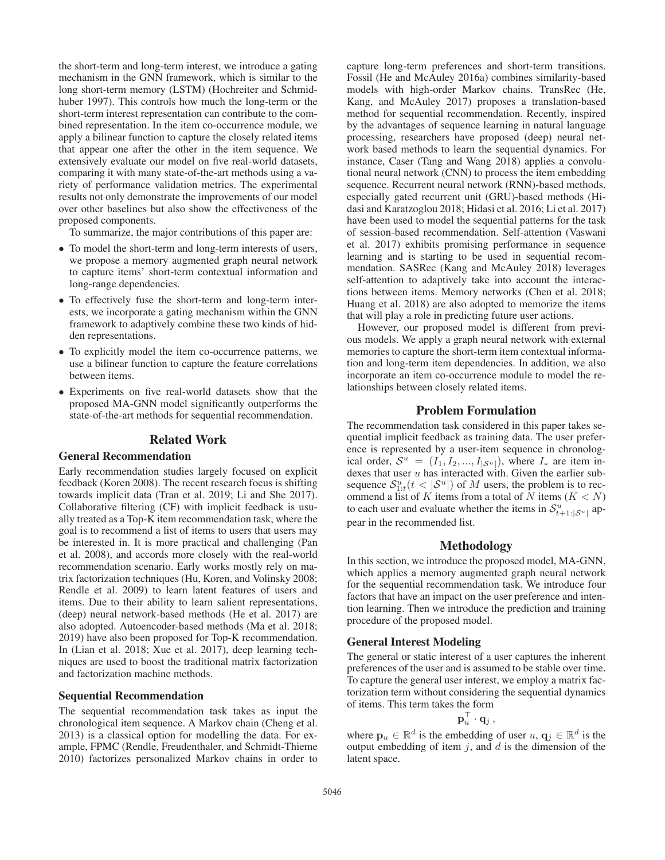the short-term and long-term interest, we introduce a gating mechanism in the GNN framework, which is similar to the long short-term memory (LSTM) (Hochreiter and Schmidhuber 1997). This controls how much the long-term or the short-term interest representation can contribute to the combined representation. In the item co-occurrence module, we apply a bilinear function to capture the closely related items that appear one after the other in the item sequence. We extensively evaluate our model on five real-world datasets, comparing it with many state-of-the-art methods using a variety of performance validation metrics. The experimental results not only demonstrate the improvements of our model over other baselines but also show the effectiveness of the proposed components.

To summarize, the major contributions of this paper are:

- To model the short-term and long-term interests of users, we propose a memory augmented graph neural network to capture items' short-term contextual information and long-range dependencies.
- To effectively fuse the short-term and long-term interests, we incorporate a gating mechanism within the GNN framework to adaptively combine these two kinds of hidden representations.
- To explicitly model the item co-occurrence patterns, we use a bilinear function to capture the feature correlations between items.
- Experiments on five real-world datasets show that the proposed MA-GNN model significantly outperforms the state-of-the-art methods for sequential recommendation.

# Related Work

#### General Recommendation

Early recommendation studies largely focused on explicit feedback (Koren 2008). The recent research focus is shifting towards implicit data (Tran et al. 2019; Li and She 2017). Collaborative filtering (CF) with implicit feedback is usually treated as a Top-K item recommendation task, where the goal is to recommend a list of items to users that users may be interested in. It is more practical and challenging (Pan et al. 2008), and accords more closely with the real-world recommendation scenario. Early works mostly rely on matrix factorization techniques (Hu, Koren, and Volinsky 2008; Rendle et al. 2009) to learn latent features of users and items. Due to their ability to learn salient representations, (deep) neural network-based methods (He et al. 2017) are also adopted. Autoencoder-based methods (Ma et al. 2018; 2019) have also been proposed for Top-K recommendation. In (Lian et al. 2018; Xue et al. 2017), deep learning techniques are used to boost the traditional matrix factorization and factorization machine methods.

#### Sequential Recommendation

The sequential recommendation task takes as input the chronological item sequence. A Markov chain (Cheng et al. 2013) is a classical option for modelling the data. For example, FPMC (Rendle, Freudenthaler, and Schmidt-Thieme 2010) factorizes personalized Markov chains in order to

capture long-term preferences and short-term transitions. Fossil (He and McAuley 2016a) combines similarity-based models with high-order Markov chains. TransRec (He, Kang, and McAuley 2017) proposes a translation-based method for sequential recommendation. Recently, inspired by the advantages of sequence learning in natural language processing, researchers have proposed (deep) neural network based methods to learn the sequential dynamics. For instance, Caser (Tang and Wang 2018) applies a convolutional neural network (CNN) to process the item embedding sequence. Recurrent neural network (RNN)-based methods, especially gated recurrent unit (GRU)-based methods (Hidasi and Karatzoglou 2018; Hidasi et al. 2016; Li et al. 2017) have been used to model the sequential patterns for the task of session-based recommendation. Self-attention (Vaswani et al. 2017) exhibits promising performance in sequence learning and is starting to be used in sequential recommendation. SASRec (Kang and McAuley 2018) leverages self-attention to adaptively take into account the interactions between items. Memory networks (Chen et al. 2018; Huang et al. 2018) are also adopted to memorize the items that will play a role in predicting future user actions.

However, our proposed model is different from previous models. We apply a graph neural network with external memories to capture the short-term item contextual information and long-term item dependencies. In addition, we also incorporate an item co-occurrence module to model the relationships between closely related items.

## Problem Formulation

The recommendation task considered in this paper takes sequential implicit feedback as training data. The user preference is represented by a user-item sequence in chronological order,  $S^u = (I_1, I_2, ..., I_{|\mathcal{S}^u|})$ , where  $I_*$  are item indexes that user  $u$  has interacted with. Given the earlier subsequence  $S_{1:t}^{u}(t < |S^{u}|)$  of M users, the problem is to rec-<br>ommend a list of K items from a total of N items (K < N) ommend a list of K items from a total of  $\overline{N}$  items ( $K < N$ ) to each user and evaluate whether the items in  $\mathcal{S}_{t+1:\vert S^u\vert}^u$  appear in the recommended list.

#### Methodology

In this section, we introduce the proposed model, MA-GNN, which applies a memory augmented graph neural network for the sequential recommendation task. We introduce four factors that have an impact on the user preference and intention learning. Then we introduce the prediction and training procedure of the proposed model.

#### General Interest Modeling

The general or static interest of a user captures the inherent preferences of the user and is assumed to be stable over time. To capture the general user interest, we employ a matrix factorization term without considering the sequential dynamics of items. This term takes the form

$$
\mathbf{p}_u^\top\cdot \mathbf{q}_j\,,
$$

where  $\mathbf{p}_u \in \mathbb{R}^d$  is the embedding of user  $u, \mathbf{q}_j \in \mathbb{R}^d$  is the output embedding of item i and d is the dimension of the output embedding of item  $j$ , and  $d$  is the dimension of the latent space.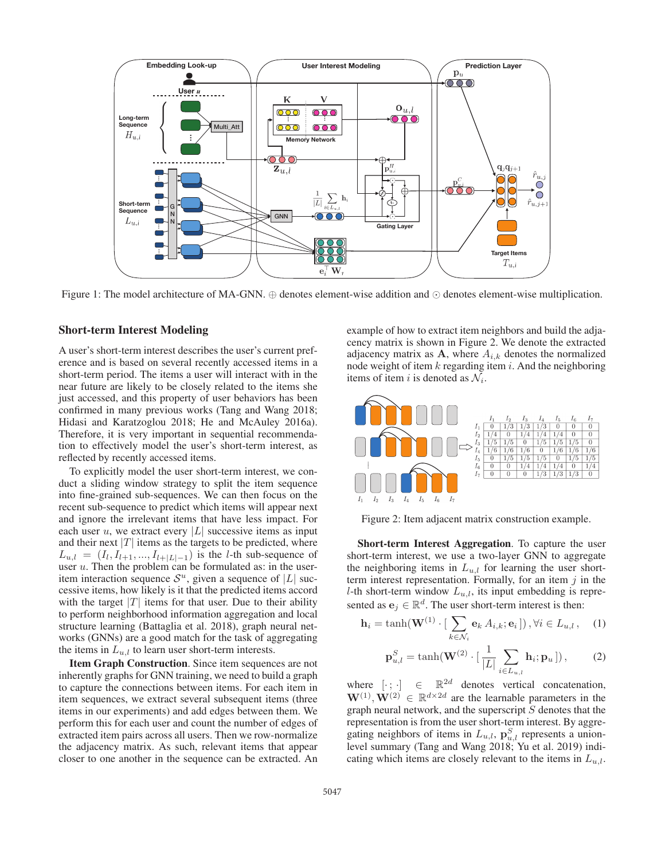

Figure 1: The model architecture of MA-GNN.  $\oplus$  denotes element-wise addition and  $\odot$  denotes element-wise multiplication.

# Short-term Interest Modeling

A user's short-term interest describes the user's current preference and is based on several recently accessed items in a short-term period. The items a user will interact with in the near future are likely to be closely related to the items she just accessed, and this property of user behaviors has been confirmed in many previous works (Tang and Wang 2018; Hidasi and Karatzoglou 2018; He and McAuley 2016a). Therefore, it is very important in sequential recommendation to effectively model the user's short-term interest, as reflected by recently accessed items.

To explicitly model the user short-term interest, we conduct a sliding window strategy to split the item sequence into fine-grained sub-sequences. We can then focus on the recent sub-sequence to predict which items will appear next and ignore the irrelevant items that have less impact. For each user  $u$ , we extract every |L| successive items as input and their next  $|T|$  items as the targets to be predicted, where  $L_{u,l} = (I_l, I_{l+1}, ..., I_{l+|L|-1})$  is the l-th sub-sequence of user  $u$ . Then the problem can be formulated as: in the useritem interaction sequence  $S^u$ , given a sequence of |L| successive items, how likely is it that the predicted items accord with the target  $|T|$  items for that user. Due to their ability to perform neighborhood information aggregation and local structure learning (Battaglia et al. 2018), graph neural networks (GNNs) are a good match for the task of aggregating the items in  $L_{u,l}$  to learn user short-term interests.

Item Graph Construction. Since item sequences are not inherently graphs for GNN training, we need to build a graph to capture the connections between items. For each item in item sequences, we extract several subsequent items (three items in our experiments) and add edges between them. We perform this for each user and count the number of edges of extracted item pairs across all users. Then we row-normalize the adjacency matrix. As such, relevant items that appear closer to one another in the sequence can be extracted. An

example of how to extract item neighbors and build the adjacency matrix is shown in Figure 2. We denote the extracted adjacency matrix as  $A$ , where  $A_{i,k}$  denotes the normalized node weight of item  $k$  regarding item  $i$ . And the neighboring items of item i is denoted as  $\mathcal{N}_i$ .



Figure 2: Item adjacent matrix construction example.

Short-term Interest Aggregation. To capture the user short-term interest, we use a two-layer GNN to aggregate the neighboring items in  $L_{u,l}$  for learning the user shortterm interest representation. Formally, for an item  $j$  in the l-th short-term window  $L_{u,l}$ , its input embedding is represented as  $\mathbf{e}_i \in \mathbb{R}^d$ . The user short-term interest is then:

$$
\mathbf{h}_{i} = \tanh(\mathbf{W}^{(1)} \cdot [\sum_{k \in \mathcal{N}_{i}} \mathbf{e}_{k} A_{i,k}; \mathbf{e}_{i}]), \forall i \in L_{u,l}, \quad (1)
$$

$$
\mathbf{p}_{u,l}^S = \tanh(\mathbf{W}^{(2)} \cdot \left[\frac{1}{|L|} \sum_{i \in L_{u,l}} \mathbf{h}_i; \mathbf{p}_u\right]),\tag{2}
$$

where  $[\cdot; \cdot] \in \mathbb{R}^{2d}$  denotes vertical concatenation,<br> $\mathbf{W}^{(1)}$   $\mathbf{W}^{(2)} \in \mathbb{R}^{d \times 2d}$  are the learnable parameters in the  $\mathbf{W}^{(1)}, \mathbf{W}^{(2)} \in \mathbb{R}^{d \times 2d}$  are the learnable parameters in the graph neural network, and the superscript S denotes that the graph neural network, and the superscript  $S$  denotes that the representation is from the user short-term interest. By aggregating neighbors of items in  $L_{u,l}$ ,  $\mathbf{p}_{u,l}^S$  represents a union-<br>level summary (Tang and Wang 2018; Yu et al. 2019) indilevel summary (Tang and Wang 2018; Yu et al. 2019) indicating which items are closely relevant to the items in  $L_{u,l}$ .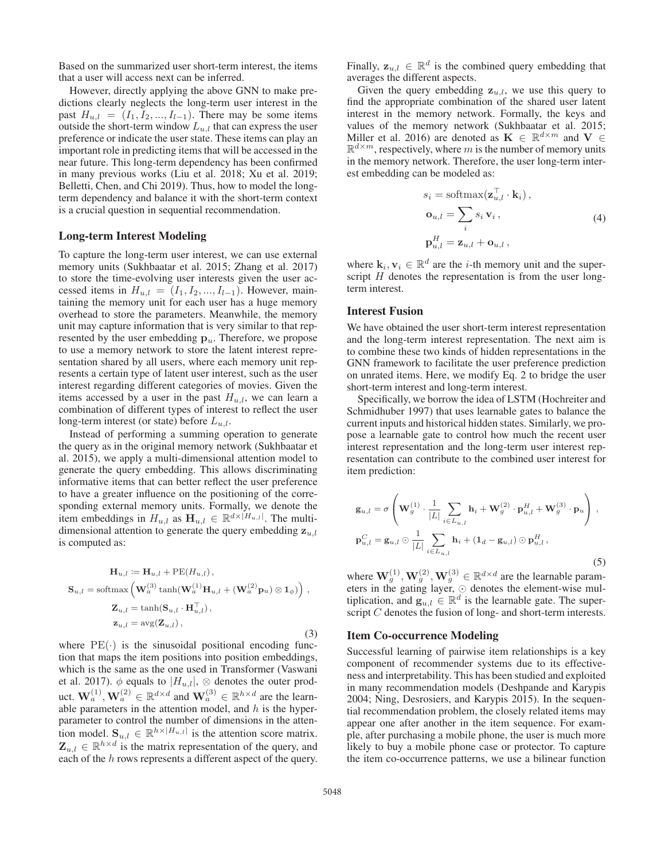Based on the summarized user short-term interest, the items that a user will access next can be inferred.

However, directly applying the above GNN to make predictions clearly neglects the long-term user interest in the past  $H_{u,l} = (I_1, I_2, ..., I_{l-1})$ . There may be some items outside the short-term window  $L_{u,l}$  that can express the user preference or indicate the user state. These items can play an important role in predicting items that will be accessed in the near future. This long-term dependency has been confirmed in many previous works (Liu et al. 2018; Xu et al. 2019; Belletti, Chen, and Chi 2019). Thus, how to model the longterm dependency and balance it with the short-term context is a crucial question in sequential recommendation.

## Long-term Interest Modeling

To capture the long-term user interest, we can use external memory units (Sukhbaatar et al. 2015; Zhang et al. 2017) to store the time-evolving user interests given the user accessed items in  $H_{u,l} = (I_1, I_2, ..., I_{l-1})$ . However, maintaining the memory unit for each user has a huge memory overhead to store the parameters. Meanwhile, the memory unit may capture information that is very similar to that represented by the user embedding  $\mathbf{p}_u$ . Therefore, we propose to use a memory network to store the latent interest representation shared by all users, where each memory unit represents a certain type of latent user interest, such as the user interest regarding different categories of movies. Given the items accessed by a user in the past  $H_{u,l}$ , we can learn a combination of different types of interest to reflect the user long-term interest (or state) before  $L_{u,l}$ .

Instead of performing a summing operation to generate the query as in the original memory network (Sukhbaatar et al. 2015), we apply a multi-dimensional attention model to generate the query embedding. This allows discriminating informative items that can better reflect the user preference to have a greater influence on the positioning of the corresponding external memory units. Formally, we denote the item embeddings in  $H_{u,l}$  as  $\mathbf{H}_{u,l} \in \mathbb{R}^{d \times |H_{u,l}|}$ . The multi-<br>dimensional attention to generate the query embedding z. dimensional attention to generate the query embedding  $z_{u,l}$ is computed as:

$$
\mathbf{H}_{u,l} := \mathbf{H}_{u,l} + PE(H_{u,l}),
$$
  
\n
$$
\mathbf{S}_{u,l} = \text{softmax}\left(\mathbf{W}_a^{(3)} \tanh(\mathbf{W}_a^{(1)} \mathbf{H}_{u,l} + (\mathbf{W}_a^{(2)} \mathbf{p}_u) \otimes \mathbf{1}_{\phi})\right),
$$
  
\n
$$
\mathbf{Z}_{u,l} = \tanh(\mathbf{S}_{u,l} \cdot \mathbf{H}_{u,l}^{\top}),
$$
  
\n
$$
\mathbf{z}_{u,l} = \text{avg}(\mathbf{Z}_{u,l}),
$$
  
\n(3)

where  $PE(\cdot)$  is the sinusoidal positional encoding function that maps the item positions into position embeddings, which is the same as the one used in Transformer (Vaswani et al. 2017).  $\phi$  equals to  $|H_{u,l}|$ ,  $\otimes$  denotes the outer product.  $\mathbf{W}_a^{(1)}$ ,  $\mathbf{W}_a^{(2)} \in \mathbb{R}^{d \times d}$  and  $\mathbf{W}_a^{(3)} \in \mathbb{R}^{h \times d}$  are the learn-<br>able parameters in the attention model and h is the hyperable parameters in the attention model, and  $h$  is the hyperparameter to control the number of dimensions in the attention model.  $\mathbf{S}_{u,l} \in \mathbb{R}^{h \times |H_{u,l}|}$  is the attention score matrix.  $\mathbf{Z}_{u,l} \in \mathbb{R}^{h \times d}$  is the matrix representation of the query, and each of the h rows represents a different aspect of the query.

Finally,  $\mathbf{z}_{u,l} \in \mathbb{R}^d$  is the combined query embedding that averages the different aspects.

Given the query embedding  $z_{u,l}$ , we use this query to find the appropriate combination of the shared user latent interest in the memory network. Formally, the keys and values of the memory network (Sukhbaatar et al. 2015; Miller et al. 2016) are denoted as **K** ∈  $\mathbb{R}^{d \times m}$  and **V** ∈  $\mathbb{R}^{d \times m}$ , respectively, where m is the number of memory units in the memory network. Therefore, the user long-term interest embedding can be modeled as:

$$
s_i = \text{softmax}(\mathbf{z}_{u,l}^\top \cdot \mathbf{k}_i),
$$
  
\n
$$
\mathbf{o}_{u,l} = \sum_i s_i \mathbf{v}_i,
$$
  
\n
$$
\mathbf{p}_{u,l}^H = \mathbf{z}_{u,l} + \mathbf{o}_{u,l},
$$
  
\n(4)

where  $\mathbf{k}_i, \mathbf{v}_i \in \mathbb{R}^d$  are the *i*-th memory unit and the superscript  $H$  denotes the representation is from the user longterm interest.

### Interest Fusion

We have obtained the user short-term interest representation and the long-term interest representation. The next aim is to combine these two kinds of hidden representations in the GNN framework to facilitate the user preference prediction on unrated items. Here, we modify Eq. 2 to bridge the user short-term interest and long-term interest.

Specifically, we borrow the idea of LSTM (Hochreiter and Schmidhuber 1997) that uses learnable gates to balance the current inputs and historical hidden states. Similarly, we propose a learnable gate to control how much the recent user interest representation and the long-term user interest representation can contribute to the combined user interest for item prediction:

$$
\mathbf{g}_{u,l} = \sigma \left( \mathbf{W}_g^{(1)} \cdot \frac{1}{|L|} \sum_{i \in L_{u,l}} \mathbf{h}_i + \mathbf{W}_g^{(2)} \cdot \mathbf{p}_{u,l}^H + \mathbf{W}_g^{(3)} \cdot \mathbf{p}_u \right),
$$
  

$$
\mathbf{p}_{u,l}^C = \mathbf{g}_{u,l} \odot \frac{1}{|L|} \sum_{i \in L_{u,l}} \mathbf{h}_i + (\mathbf{1}_d - \mathbf{g}_{u,l}) \odot \mathbf{p}_{u,l}^H,
$$
 (5)

where  $\mathbf{W}_{g}^{(1)}$ ,  $\mathbf{W}_{g}^{(2)}$ ,  $\mathbf{W}_{g}^{(3)} \in \mathbb{R}^{d \times d}$  are the learnable parameters in the equino layer  $\odot$  denotes the element-wise muleters in the gating layer,  $\odot$  denotes the element-wise multiplication, and  $\mathbf{g}_{u,l} \in \mathbb{R}^d$  is the learnable gate. The superscript C denotes the fusion of long- and short-term interests.

#### Item Co-occurrence Modeling

Successful learning of pairwise item relationships is a key component of recommender systems due to its effectiveness and interpretability. This has been studied and exploited in many recommendation models (Deshpande and Karypis 2004; Ning, Desrosiers, and Karypis 2015). In the sequential recommendation problem, the closely related items may appear one after another in the item sequence. For example, after purchasing a mobile phone, the user is much more likely to buy a mobile phone case or protector. To capture the item co-occurrence patterns, we use a bilinear function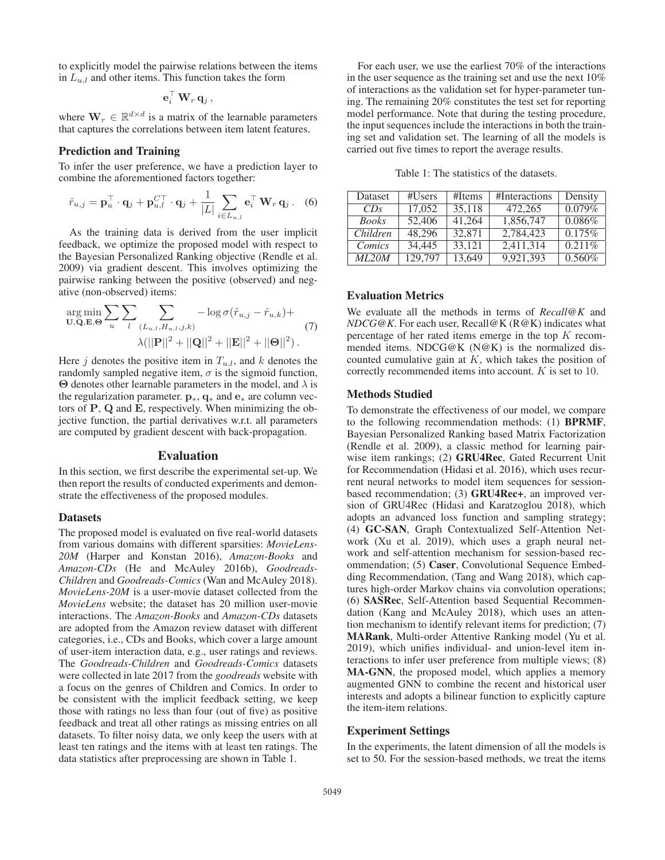to explicitly model the pairwise relations between the items in  $L_{u,l}$  and other items. This function takes the form

$$
\mathbf{e}_i^\top \mathbf{W}_r \mathbf{q}_j,
$$

where  $\mathbf{W}_r \in \mathbb{R}^{d \times d}$  is a matrix of the learnable parameters that captures the correlations between item latent features.

## Prediction and Training

To infer the user preference, we have a prediction layer to combine the aforementioned factors together:

$$
\hat{r}_{u,j} = \mathbf{p}_u^{\top} \cdot \mathbf{q}_j + \mathbf{p}_{u,l}^{CT} \cdot \mathbf{q}_j + \frac{1}{|L|} \sum_{i \in L_{u,l}} \mathbf{e}_i^{\top} \mathbf{W}_r \mathbf{q}_j.
$$
 (6)

As the training data is derived from the user implicit feedback, we optimize the proposed model with respect to the Bayesian Personalized Ranking objective (Rendle et al. 2009) via gradient descent. This involves optimizing the pairwise ranking between the positive (observed) and negative (non-observed) items:

$$
\arg\min_{\mathbf{U},\mathbf{Q},\mathbf{E},\mathbf{\Theta}} \sum_{u} \sum_{l} \sum_{(L_{u,l},H_{u,l},j,k)} -\log \sigma(\hat{r}_{u,j} - \hat{r}_{u,k}) +
$$
  
 
$$
\lambda(||\mathbf{P}||^2 + ||\mathbf{Q}||^2 + ||\mathbf{E}||^2 + ||\mathbf{\Theta}||^2).
$$
 (7)

Here j denotes the positive item in  $T_{u,l}$ , and k denotes the randomly sampled negative item,  $\sigma$  is the sigmoid function, **Θ** denotes other learnable parameters in the model, and  $\lambda$  is the regularization parameter. **<sup>p</sup>**<sup>∗</sup>, **<sup>q</sup>**<sup>∗</sup> and **<sup>e</sup>**<sup>∗</sup> are column vectors of **P**, **Q** and **E**, respectively. When minimizing the objective function, the partial derivatives w.r.t. all parameters are computed by gradient descent with back-propagation.

# Evaluation

In this section, we first describe the experimental set-up. We then report the results of conducted experiments and demonstrate the effectiveness of the proposed modules.

#### **Datasets**

The proposed model is evaluated on five real-world datasets from various domains with different sparsities: *MovieLens-20M* (Harper and Konstan 2016), *Amazon-Books* and *Amazon-CDs* (He and McAuley 2016b), *Goodreads-Children* and *Goodreads-Comics* (Wan and McAuley 2018). *MovieLens-20M* is a user-movie dataset collected from the *MovieLens* website; the dataset has 20 million user-movie interactions. The *Amazon-Books* and *Amazon-CDs* datasets are adopted from the Amazon review dataset with different categories, i.e., CDs and Books, which cover a large amount of user-item interaction data, e.g., user ratings and reviews. The *Goodreads-Children* and *Goodreads-Comics* datasets were collected in late 2017 from the *goodreads* website with a focus on the genres of Children and Comics. In order to be consistent with the implicit feedback setting, we keep those with ratings no less than four (out of five) as positive feedback and treat all other ratings as missing entries on all datasets. To filter noisy data, we only keep the users with at least ten ratings and the items with at least ten ratings. The data statistics after preprocessing are shown in Table 1.

For each user, we use the earliest 70% of the interactions in the user sequence as the training set and use the next 10% of interactions as the validation set for hyper-parameter tuning. The remaining 20% constitutes the test set for reporting model performance. Note that during the testing procedure, the input sequences include the interactions in both the training set and validation set. The learning of all the models is carried out five times to report the average results.

Table 1: The statistics of the datasets.

| Dataset      | #Users  | #Items | #Interactions | Density   |
|--------------|---------|--------|---------------|-----------|
| CDs          | 17,052  | 35,118 | 472,265       | 0.079%    |
| <b>Books</b> | 52,406  | 41,264 | 1,856,747     | 0.086%    |
| Children     | 48,296  | 32,871 | 2,784,423     | 0.175%    |
| Comics       | 34,445  | 33,121 | 2,411,314     | 0.211%    |
| ML20M        | 129,797 | 13,649 | 9,921,393     | $0.560\%$ |

### Evaluation Metrics

We evaluate all the methods in terms of *Recall@K* and *NDCG@K*. For each user, Recall@K (R@K) indicates what percentage of her rated items emerge in the top  $K$  recommended items. NDCG@K (N@K) is the normalized discounted cumulative gain at  $K$ , which takes the position of correctly recommended items into account. <sup>K</sup> is set to 10.

#### Methods Studied

To demonstrate the effectiveness of our model, we compare to the following recommendation methods: (1) BPRMF, Bayesian Personalized Ranking based Matrix Factorization (Rendle et al. 2009), a classic method for learning pairwise item rankings; (2) GRU4Rec, Gated Recurrent Unit for Recommendation (Hidasi et al. 2016), which uses recurrent neural networks to model item sequences for sessionbased recommendation; (3) GRU4Rec+, an improved version of GRU4Rec (Hidasi and Karatzoglou 2018), which adopts an advanced loss function and sampling strategy; (4) GC-SAN, Graph Contextualized Self-Attention Network (Xu et al. 2019), which uses a graph neural network and self-attention mechanism for session-based recommendation; (5) Caser, Convolutional Sequence Embedding Recommendation, (Tang and Wang 2018), which captures high-order Markov chains via convolution operations; (6) SASRec, Self-Attention based Sequential Recommendation (Kang and McAuley 2018), which uses an attention mechanism to identify relevant items for prediction; (7) MARank, Multi-order Attentive Ranking model (Yu et al. 2019), which unifies individual- and union-level item interactions to infer user preference from multiple views; (8) MA-GNN, the proposed model, which applies a memory augmented GNN to combine the recent and historical user interests and adopts a bilinear function to explicitly capture the item-item relations.

#### Experiment Settings

In the experiments, the latent dimension of all the models is set to 50. For the session-based methods, we treat the items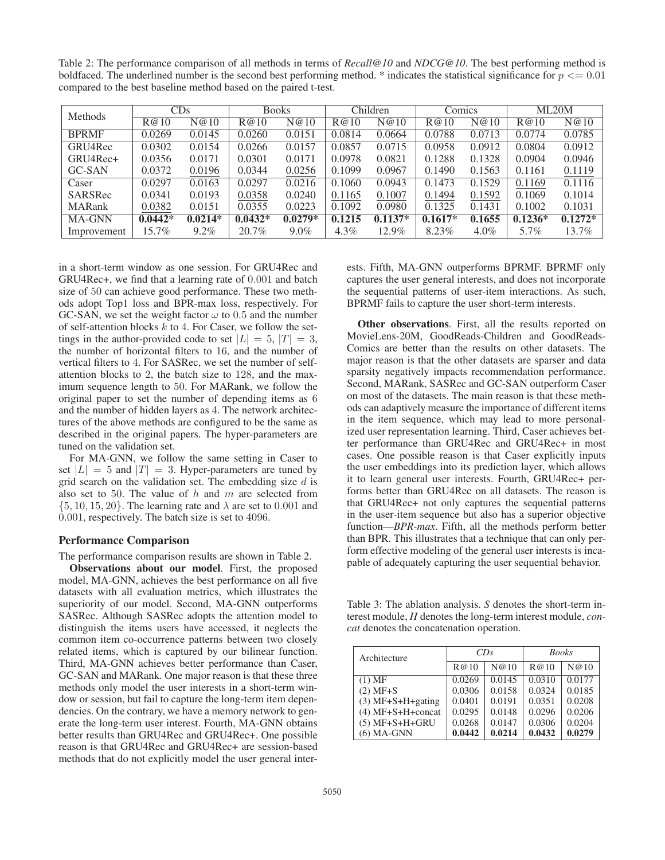Table 2: The performance comparison of all methods in terms of *Recall@10* and *NDCG@10*. The best performing method is boldfaced. The underlined number is the second best performing method. \* indicates the statistical significance for  $p \le 0.01$ compared to the best baseline method based on the paired t-test.

| Methods       | CDs       |           | <b>Books</b> |           | Children |           | Comics    |         | ML20M     |           |
|---------------|-----------|-----------|--------------|-----------|----------|-----------|-----------|---------|-----------|-----------|
|               | R@10      | N@10      | R@10         | N@10      | R@10     | N@10      | R@10      | N@10    | R@10      | N@10      |
| <b>BPRMF</b>  | 0.0269    | 0.0145    | 0.0260       | 0.0151    | 0.0814   | 0.0664    | 0.0788    | 0.0713  | 0.0774    | 0.0785    |
| GRU4Rec       | 0.0302    | 0.0154    | 0.0266       | 0.0157    | 0.0857   | 0.0715    | 0.0958    | 0.0912  | 0.0804    | 0.0912    |
| GRU4Rec+      | 0.0356    | 0.0171    | 0.0301       | 0.0171    | 0.0978   | 0.0821    | 0.1288    | 0.1328  | 0.0904    | 0.0946    |
| GC-SAN        | 0.0372    | 0.0196    | 0.0344       | 0.0256    | 0.1099   | 0.0967    | 0.1490    | 0.1563  | 0.1161    | 0.1119    |
| Caser         | 0.0297    | 0.0163    | 0.0297       | 0.0216    | 0.1060   | 0.0943    | 0.1473    | 0.1529  | 0.1169    | 0.1116    |
| SARSRec       | 0.0341    | 0.0193    | 0.0358       | 0.0240    | 0.1165   | 0.1007    | 0.1494    | 0.1592  | 0.1069    | 0.1014    |
| <b>MARank</b> | 0.0382    | 0.0151    | 0.0355       | 0.0223    | 0.1092   | 0.0980    | 0.1325    | 0.1431  | 0.1002    | 0.1031    |
| <b>MA-GNN</b> | $0.0442*$ | $0.0214*$ | $0.0432*$    | $0.0279*$ | 0.1215   | $0.1137*$ | $0.1617*$ | 0.1655  | $0.1236*$ | $0.1272*$ |
| Improvement   | 15.7%     | $9.2\%$   | 20.7%        | $9.0\%$   | $4.3\%$  | 12.9%     | 8.23%     | $4.0\%$ | 5.7%      | 13.7%     |

in a short-term window as one session. For GRU4Rec and GRU4Rec+, we find that a learning rate of 0.001 and batch size of 50 can achieve good performance. These two methods adopt Top1 loss and BPR-max loss, respectively. For GC-SAN, we set the weight factor  $\omega$  to 0.5 and the number of self-attention blocks  $k$  to 4. For Caser, we follow the settings in the author-provided code to set  $|L| = 5$ ,  $|T| = 3$ , the number of horizontal filters to 16, and the number of vertical filters to 4. For SASRec, we set the number of selfattention blocks to 2, the batch size to 128, and the maximum sequence length to 50. For MARank, we follow the original paper to set the number of depending items as 6 and the number of hidden layers as 4. The network architectures of the above methods are configured to be the same as described in the original papers. The hyper-parameters are tuned on the validation set.

For MA-GNN, we follow the same setting in Caser to set  $|L| = 5$  and  $|T| = 3$ . Hyper-parameters are tuned by grid search on the validation set. The embedding size  $d$  is also set to 50. The value of  $h$  and  $m$  are selected from  $\{5, 10, 15, 20\}$ . The learning rate and  $\lambda$  are set to 0.001 and 0.001, respectively. The batch size is set to 4096.

### Performance Comparison

The performance comparison results are shown in Table 2.

Observations about our model. First, the proposed model, MA-GNN, achieves the best performance on all five datasets with all evaluation metrics, which illustrates the superiority of our model. Second, MA-GNN outperforms SASRec. Although SASRec adopts the attention model to distinguish the items users have accessed, it neglects the common item co-occurrence patterns between two closely related items, which is captured by our bilinear function. Third, MA-GNN achieves better performance than Caser, GC-SAN and MARank. One major reason is that these three methods only model the user interests in a short-term window or session, but fail to capture the long-term item dependencies. On the contrary, we have a memory network to generate the long-term user interest. Fourth, MA-GNN obtains better results than GRU4Rec and GRU4Rec+. One possible reason is that GRU4Rec and GRU4Rec+ are session-based methods that do not explicitly model the user general interests. Fifth, MA-GNN outperforms BPRMF. BPRMF only captures the user general interests, and does not incorporate the sequential patterns of user-item interactions. As such, BPRMF fails to capture the user short-term interests.

Other observations. First, all the results reported on MovieLens-20M, GoodReads-Children and GoodReads-Comics are better than the results on other datasets. The major reason is that the other datasets are sparser and data sparsity negatively impacts recommendation performance. Second, MARank, SASRec and GC-SAN outperform Caser on most of the datasets. The main reason is that these methods can adaptively measure the importance of different items in the item sequence, which may lead to more personalized user representation learning. Third, Caser achieves better performance than GRU4Rec and GRU4Rec+ in most cases. One possible reason is that Caser explicitly inputs the user embeddings into its prediction layer, which allows it to learn general user interests. Fourth, GRU4Rec+ performs better than GRU4Rec on all datasets. The reason is that GRU4Rec+ not only captures the sequential patterns in the user-item sequence but also has a superior objective function—*BPR-max*. Fifth, all the methods perform better than BPR. This illustrates that a technique that can only perform effective modeling of the general user interests is incapable of adequately capturing the user sequential behavior.

Table 3: The ablation analysis. *S* denotes the short-term interest module, *H* denotes the long-term interest module, *concat* denotes the concatenation operation.

| Architecture        | CDs    |        | <b>Books</b> |        |  |
|---------------------|--------|--------|--------------|--------|--|
|                     | R@10   | N@10   | R@10         | N@10   |  |
| $(1)$ MF            | 0.0269 | 0.0145 | 0.0310       | 0.0177 |  |
| $(2)$ MF+S          | 0.0306 | 0.0158 | 0.0324       | 0.0185 |  |
| $(3)$ MF+S+H+gating | 0.0401 | 0.0191 | 0.0351       | 0.0208 |  |
| $(4) MF+S+H+concat$ | 0.0295 | 0.0148 | 0.0296       | 0.0206 |  |
| $(5)$ MF+S+H+GRU    | 0.0268 | 0.0147 | 0.0306       | 0.0204 |  |
| $(6)$ MA-GNN        | 0.0442 | 0.0214 | 0.0432       | 0.0279 |  |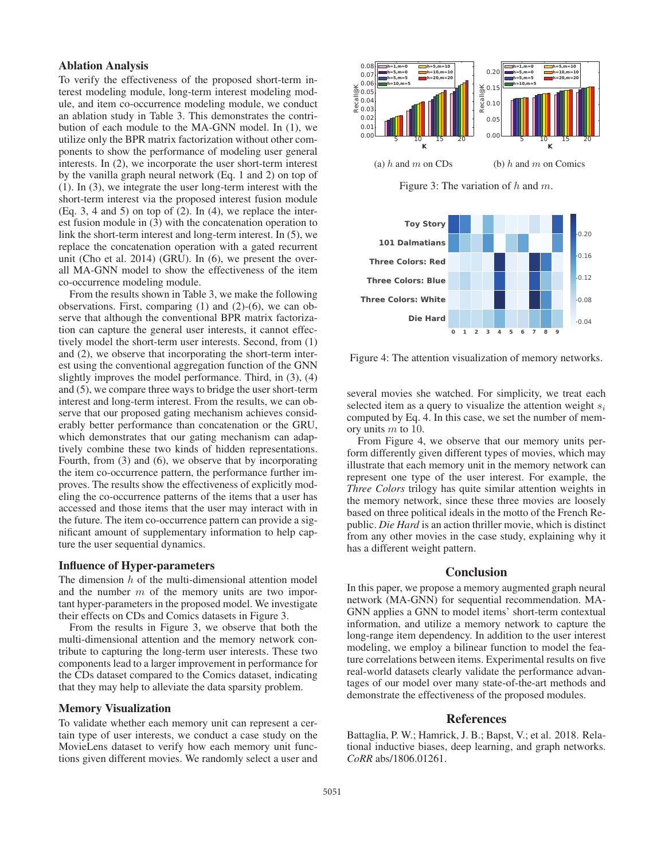## Ablation Analysis

To verify the effectiveness of the proposed short-term interest modeling module, long-term interest modeling module, and item co-occurrence modeling module, we conduct an ablation study in Table 3. This demonstrates the contribution of each module to the MA-GNN model. In (1), we utilize only the BPR matrix factorization without other components to show the performance of modeling user general interests. In (2), we incorporate the user short-term interest by the vanilla graph neural network (Eq. 1 and 2) on top of (1). In (3), we integrate the user long-term interest with the short-term interest via the proposed interest fusion module  $(Eq. 3, 4 \text{ and } 5)$  on top of  $(2)$ . In  $(4)$ , we replace the interest fusion module in (3) with the concatenation operation to link the short-term interest and long-term interest. In (5), we replace the concatenation operation with a gated recurrent unit (Cho et al. 2014) (GRU). In (6), we present the overall MA-GNN model to show the effectiveness of the item co-occurrence modeling module.

From the results shown in Table 3, we make the following observations. First, comparing (1) and (2)-(6), we can observe that although the conventional BPR matrix factorization can capture the general user interests, it cannot effectively model the short-term user interests. Second, from (1) and (2), we observe that incorporating the short-term interest using the conventional aggregation function of the GNN slightly improves the model performance. Third, in (3), (4) and (5), we compare three ways to bridge the user short-term interest and long-term interest. From the results, we can observe that our proposed gating mechanism achieves considerably better performance than concatenation or the GRU, which demonstrates that our gating mechanism can adaptively combine these two kinds of hidden representations. Fourth, from (3) and (6), we observe that by incorporating the item co-occurrence pattern, the performance further improves. The results show the effectiveness of explicitly modeling the co-occurrence patterns of the items that a user has accessed and those items that the user may interact with in the future. The item co-occurrence pattern can provide a significant amount of supplementary information to help capture the user sequential dynamics.

### Influence of Hyper-parameters

The dimension  $h$  of the multi-dimensional attention model and the number  $m$  of the memory units are two important hyper-parameters in the proposed model. We investigate their effects on CDs and Comics datasets in Figure 3.

From the results in Figure 3, we observe that both the multi-dimensional attention and the memory network contribute to capturing the long-term user interests. These two components lead to a larger improvement in performance for the CDs dataset compared to the Comics dataset, indicating that they may help to alleviate the data sparsity problem.

#### Memory Visualization

To validate whether each memory unit can represent a certain type of user interests, we conduct a case study on the MovieLens dataset to verify how each memory unit functions given different movies. We randomly select a user and



Figure 3: The variation of  $h$  and  $m$ .



Figure 4: The attention visualization of memory networks.

several movies she watched. For simplicity, we treat each selected item as a query to visualize the attention weight  $s_i$ computed by Eq. 4. In this case, we set the number of memory units <sup>m</sup> to 10.

From Figure 4, we observe that our memory units perform differently given different types of movies, which may illustrate that each memory unit in the memory network can represent one type of the user interest. For example, the *Three Colors* trilogy has quite similar attention weights in the memory network, since these three movies are loosely based on three political ideals in the motto of the French Republic. *Die Hard* is an action thriller movie, which is distinct from any other movies in the case study, explaining why it has a different weight pattern.

# **Conclusion**

In this paper, we propose a memory augmented graph neural network (MA-GNN) for sequential recommendation. MA-GNN applies a GNN to model items' short-term contextual information, and utilize a memory network to capture the long-range item dependency. In addition to the user interest modeling, we employ a bilinear function to model the feature correlations between items. Experimental results on five real-world datasets clearly validate the performance advantages of our model over many state-of-the-art methods and demonstrate the effectiveness of the proposed modules.

# References

Battaglia, P. W.; Hamrick, J. B.; Bapst, V.; et al. 2018. Relational inductive biases, deep learning, and graph networks. *CoRR* abs/1806.01261.